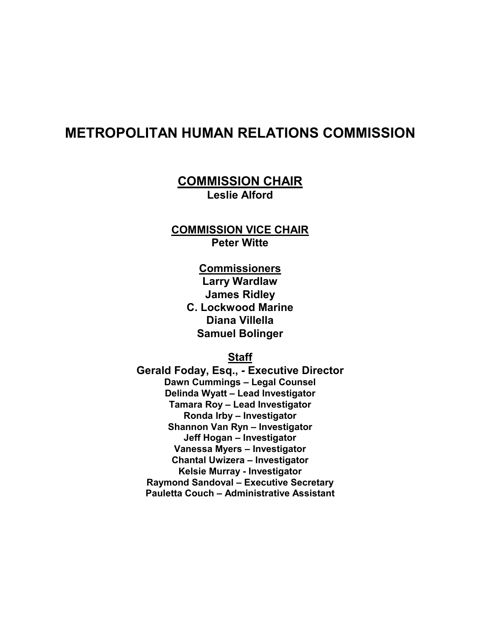## **METROPOLITAN HUMAN RELATIONS COMMISSION**

**COMMISSION CHAIR Leslie Alford** 

**COMMISSION VICE CHAIR Peter Witte** 

> **Commissioners Larry Wardlaw James Ridley C. Lockwood Marine Diana Villella Samuel Bolinger**

> > **Staff**

**Gerald Foday, Esq., - Executive Director Dawn Cummings – Legal Counsel Delinda Wyatt – Lead Investigator Tamara Roy – Lead Investigator Ronda Irby – Investigator Shannon Van Ryn – Investigator Jeff Hogan – Investigator Vanessa Myers – Investigator Chantal Uwizera – Investigator Kelsie Murray - Investigator Raymond Sandoval – Executive Secretary Pauletta Couch – Administrative Assistant**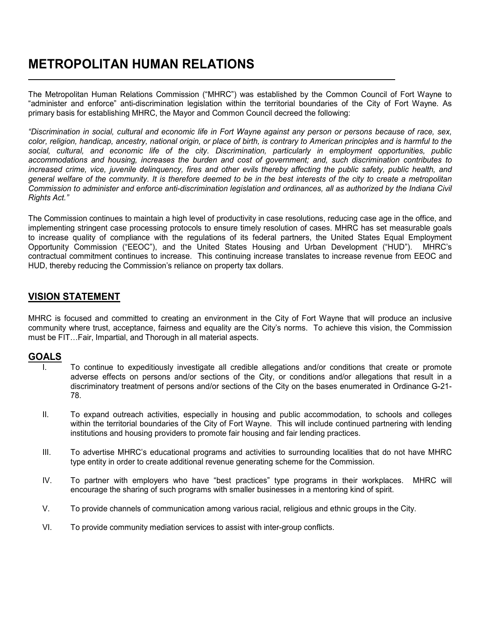# **METROPOLITAN HUMAN RELATIONS**

The Metropolitan Human Relations Commission ("MHRC") was established by the Common Council of Fort Wayne to "administer and enforce" anti-discrimination legislation within the territorial boundaries of the City of Fort Wayne. As primary basis for establishing MHRC, the Mayor and Common Council decreed the following:

*"Discrimination in social, cultural and economic life in Fort Wayne against any person or persons because of race, sex, color, religion, handicap, ancestry, national origin, or place of birth, is contrary to American principles and is harmful to the social, cultural, and economic life of the city. Discrimination, particularly in employment opportunities, public accommodations and housing, increases the burden and cost of government; and, such discrimination contributes to increased crime, vice, juvenile delinquency, fires and other evils thereby affecting the public safety, public health, and general welfare of the community. It is therefore deemed to be in the best interests of the city to create a metropolitan Commission to administer and enforce anti-discrimination legislation and ordinances, all as authorized by the Indiana Civil Rights Act."* 

The Commission continues to maintain a high level of productivity in case resolutions, reducing case age in the office, and implementing stringent case processing protocols to ensure timely resolution of cases. MHRC has set measurable goals to increase quality of compliance with the regulations of its federal partners, the United States Equal Employment Opportunity Commission ("EEOC"), and the United States Housing and Urban Development ("HUD"). MHRC's contractual commitment continues to increase. This continuing increase translates to increase revenue from EEOC and HUD, thereby reducing the Commission's reliance on property tax dollars.

### **VISION STATEMENT**

MHRC is focused and committed to creating an environment in the City of Fort Wayne that will produce an inclusive community where trust, acceptance, fairness and equality are the City's norms. To achieve this vision, the Commission must be FIT…Fair, Impartial, and Thorough in all material aspects.

### **GOALS**

L

- I. To continue to expeditiously investigate all credible allegations and/or conditions that create or promote adverse effects on persons and/or sections of the City, or conditions and/or allegations that result in a discriminatory treatment of persons and/or sections of the City on the bases enumerated in Ordinance G-21- 78.
- II. To expand outreach activities, especially in housing and public accommodation, to schools and colleges within the territorial boundaries of the City of Fort Wayne. This will include continued partnering with lending institutions and housing providers to promote fair housing and fair lending practices.
- III. To advertise MHRC's educational programs and activities to surrounding localities that do not have MHRC type entity in order to create additional revenue generating scheme for the Commission.
- IV. To partner with employers who have "best practices" type programs in their workplaces. MHRC will encourage the sharing of such programs with smaller businesses in a mentoring kind of spirit.
- V. To provide channels of communication among various racial, religious and ethnic groups in the City.
- VI. To provide community mediation services to assist with inter-group conflicts.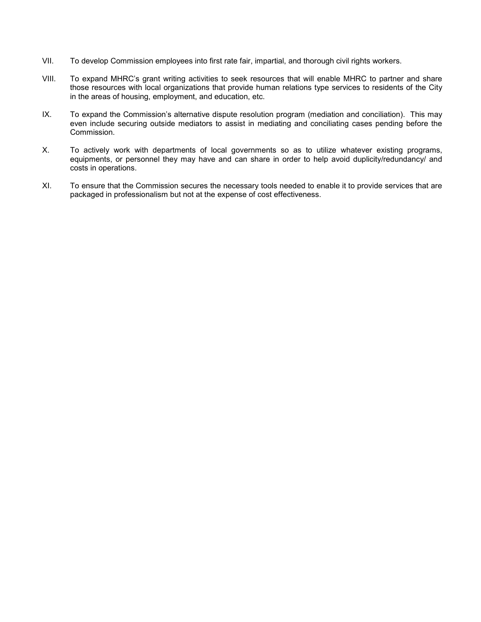- VII. To develop Commission employees into first rate fair, impartial, and thorough civil rights workers.
- VIII. To expand MHRC's grant writing activities to seek resources that will enable MHRC to partner and share those resources with local organizations that provide human relations type services to residents of the City in the areas of housing, employment, and education, etc.
- IX. To expand the Commission's alternative dispute resolution program (mediation and conciliation). This may even include securing outside mediators to assist in mediating and conciliating cases pending before the Commission.
- X. To actively work with departments of local governments so as to utilize whatever existing programs, equipments, or personnel they may have and can share in order to help avoid duplicity/redundancy/ and costs in operations.
- XI. To ensure that the Commission secures the necessary tools needed to enable it to provide services that are packaged in professionalism but not at the expense of cost effectiveness.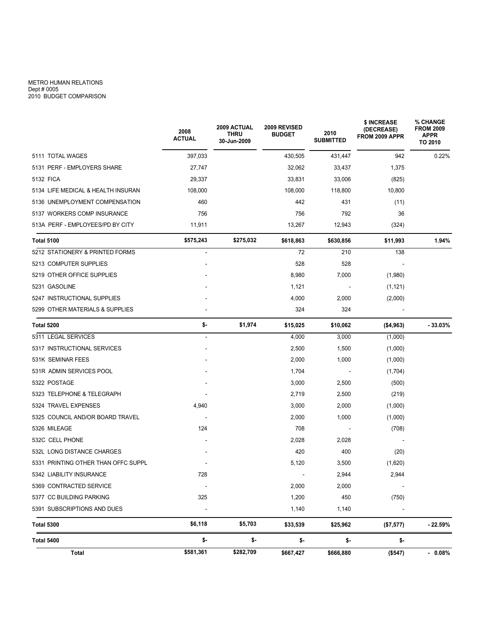#### METRO HUMAN RELATIONS Dept # 0005 2010 BUDGET COMPARISON

|                                                                                 | 2008<br><b>ACTUAL</b>                                          | <b>2009 ACTUAL</b><br><b>THRU</b><br>30-Jun-2009 | 2009 REVISED<br><b>BUDGET</b>                       | 2010<br><b>SUBMITTED</b>                  | \$ INCREASE<br>(DECREASE)<br>FROM 2009 APPR | % CHANGE<br><b>FROM 2009</b><br><b>APPR</b><br>TO 2010 |
|---------------------------------------------------------------------------------|----------------------------------------------------------------|--------------------------------------------------|-----------------------------------------------------|-------------------------------------------|---------------------------------------------|--------------------------------------------------------|
| 5111 TOTAL WAGES                                                                | 397,033<br>27,747<br>29,337<br>108,000<br>460<br>756<br>11,911 |                                                  | 430,505                                             | 431,447                                   | 942                                         | 0.22%                                                  |
| 5131 PERF - EMPLOYERS SHARE                                                     |                                                                |                                                  | 32,062<br>33,831<br>108,000<br>442<br>756<br>13,267 | 33,437                                    | 1,375                                       |                                                        |
| 5132 FICA                                                                       |                                                                |                                                  |                                                     | 33,006<br>118,800<br>431<br>792<br>12,943 | (825)<br>10,800<br>(11)<br>36<br>(324)      |                                                        |
| 5134 LIFE MEDICAL & HEALTH INSURAN                                              |                                                                |                                                  |                                                     |                                           |                                             |                                                        |
| 5136 UNEMPLOYMENT COMPENSATION                                                  |                                                                |                                                  |                                                     |                                           |                                             |                                                        |
| 5137 WORKERS COMP INSURANCE<br>513A PERF - EMPLOYEES/PD BY CITY                 |                                                                |                                                  |                                                     |                                           |                                             |                                                        |
|                                                                                 |                                                                |                                                  |                                                     |                                           |                                             |                                                        |
| 5212 STATIONERY & PRINTED FORMS                                                 | $\blacksquare$                                                 |                                                  | 72                                                  | 210                                       | 138                                         |                                                        |
| 5213 COMPUTER SUPPLIES                                                          |                                                                |                                                  | 528                                                 | 528                                       |                                             |                                                        |
| 5219 OTHER OFFICE SUPPLIES                                                      |                                                                |                                                  | 8,980                                               | 7,000<br>2,000<br>324                     | (1,980)<br>(1, 121)<br>(2,000)              |                                                        |
| 5231 GASOLINE<br>5247 INSTRUCTIONAL SUPPLIES<br>5299 OTHER MATERIALS & SUPPLIES |                                                                |                                                  | 1,121<br>4,000<br>324                               |                                           |                                             |                                                        |
|                                                                                 |                                                                |                                                  |                                                     |                                           |                                             |                                                        |
|                                                                                 |                                                                |                                                  |                                                     |                                           |                                             |                                                        |
| Total 5200                                                                      | \$-                                                            | \$1,974                                          | \$15,025                                            | \$10,062                                  | ( \$4, 963)                                 | $-33.03%$                                              |
| 5311 LEGAL SERVICES                                                             | $\blacksquare$                                                 |                                                  | 4,000                                               | 3,000                                     | (1,000)                                     |                                                        |
| 5317 INSTRUCTIONAL SERVICES                                                     |                                                                |                                                  | 2,500                                               | 1,500                                     | (1,000)                                     |                                                        |
| 531K SEMINAR FEES                                                               |                                                                |                                                  | 2,000                                               | 1,000                                     | (1,000)                                     |                                                        |
| 531R ADMIN SERVICES POOL                                                        |                                                                |                                                  | 1,704                                               | $\overline{\phantom{a}}$                  | (1,704)                                     |                                                        |
| 5322 POSTAGE                                                                    |                                                                |                                                  | 3,000                                               | 2,500                                     | (500)                                       |                                                        |
| 5323 TELEPHONE & TELEGRAPH                                                      |                                                                |                                                  | 2,719                                               | 2,500                                     | (219)                                       |                                                        |
| 5324 TRAVEL EXPENSES                                                            | 4,940                                                          |                                                  | 3,000                                               | 2,000                                     | (1,000)                                     |                                                        |
| 5325 COUNCIL AND/OR BOARD TRAVEL                                                | 124                                                            |                                                  | 2,000<br>708                                        | 1,000                                     | (1,000)<br>(708)                            |                                                        |
| 5326 MILEAGE                                                                    |                                                                |                                                  |                                                     |                                           |                                             |                                                        |
| 532C CELL PHONE                                                                 |                                                                |                                                  | 2,028                                               | 2,028                                     |                                             |                                                        |
| 532L LONG DISTANCE CHARGES                                                      |                                                                |                                                  | 420                                                 | 400<br>3,500                              | (20)<br>(1,620)                             |                                                        |
| 5331 PRINTING OTHER THAN OFFC SUPPL                                             |                                                                |                                                  | 5,120                                               |                                           |                                             |                                                        |
| 5342 LIABILITY INSURANCE                                                        | 728                                                            |                                                  | $\overline{\phantom{a}}$                            | 2,944                                     | 2,944                                       |                                                        |
| 5369 CONTRACTED SERVICE                                                         | 2,000<br>2,000                                                 |                                                  |                                                     |                                           |                                             |                                                        |
| 5377 CC BUILDING PARKING                                                        | 325                                                            |                                                  | 1,200                                               | 450                                       | (750)                                       |                                                        |
| 5391 SUBSCRIPTIONS AND DUES                                                     |                                                                |                                                  | 1,140                                               | 1,140                                     |                                             |                                                        |
| <b>Total 5300</b>                                                               | \$6,118                                                        | \$5,703                                          | \$33,539                                            | \$25,962                                  | (\$7,577)                                   | $-22.59%$                                              |
| <b>Total 5400</b>                                                               | \$-                                                            | \$-                                              | \$-                                                 | \$-                                       | \$-                                         |                                                        |
| Total                                                                           | \$581,361                                                      | \$282,709                                        | \$667,427                                           | \$666,880                                 | (\$547)                                     | $-0.08%$                                               |